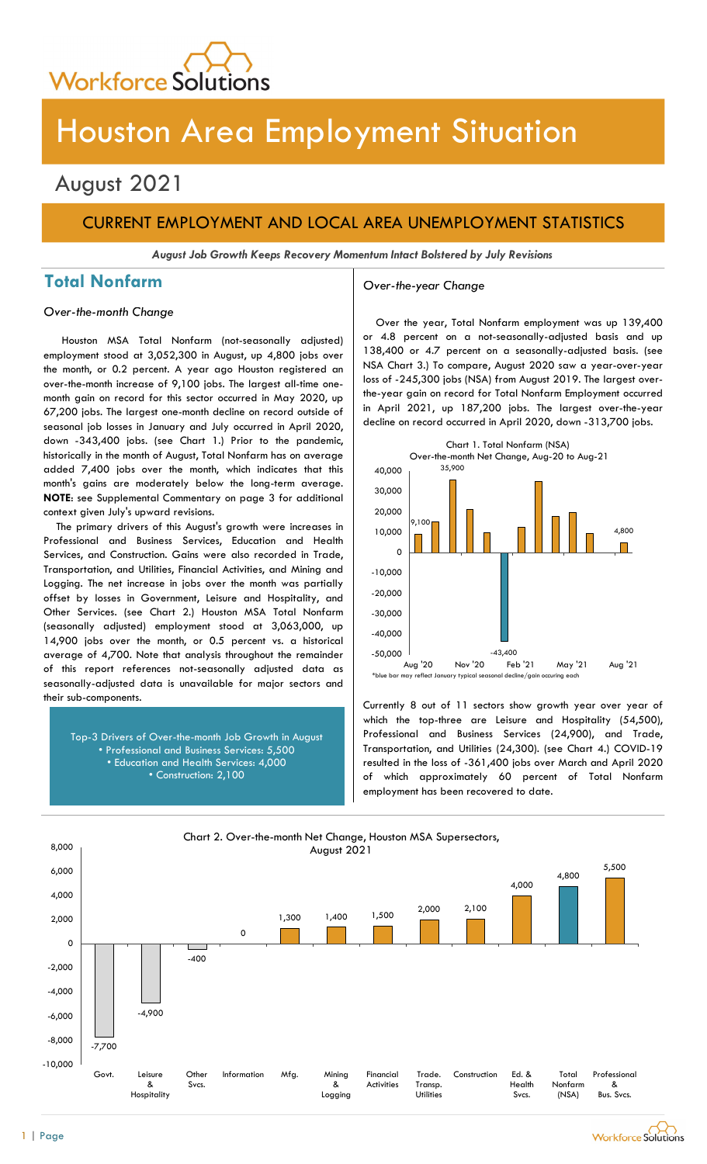

# Houston Area Employment Situation

## August 2021

## CURRENT EMPLOYMENT AND LOCAL AREA UNEMPLOYMENT STATISTICS

August Job Growth Keeps Recovery Momentum Intact Bolstered by July Revisions

## Total Nonfarm and a settle over-the-year Change

### Over-the-month Change

Houston MSA Total Nonfarm (not-seasonally adjusted) employment stood at 3,052,300 in August, up 4,800 jobs over the month, or 0.2 percent. A year ago Houston registered an over-the-month increase of 9,100 jobs. The largest all-time onemonth gain on record for this sector occurred in May 2020, up 67,200 jobs. The largest one-month decline on record outside of seasonal job losses in January and July occurred in April 2020, down -343,400 jobs. (see Chart 1.) Prior to the pandemic, historically in the month of August, Total Nonfarm has on average added 7,400 jobs over the month, which indicates that this month's gains are moderately below the long-term average. NOTE: see Supplemental Commentary on page 3 for additional context given July's upward revisions.

The primary drivers of this August's growth were increases in Professional and Business Services, Education and Health Services, and Construction. Gains were also recorded in Trade, Transportation, and Utilities, Financial Activities, and Mining and Logging. The net increase in jobs over the month was partially offset by losses in Government, Leisure and Hospitality, and Other Services. (see Chart 2.) Houston MSA Total Nonfarm (seasonally adjusted) employment stood at 3,063,000, up 14,900 jobs over the month, or 0.5 percent vs. a historical average of 4,700. Note that analysis throughout the remainder of this report references not-seasonally adjusted data as seasonally-adjusted data is unavailable for major sectors and their sub-components.

Top-3 Drivers of Over-the-month Job Growth in August • Professional and Business Services: 5,500 • Education and Health Services: 4,000 • Construction: 2,100

Over the year, Total Nonfarm employment was up 139,400 or 4.8 percent on a not-seasonally-adjusted basis and up 138,400 or 4.7 percent on a seasonally-adjusted basis. (see NSA Chart 3.) To compare, August 2020 saw a year-over-year loss of -245,300 jobs (NSA) from August 2019. The largest overthe-year gain on record for Total Nonfarm Employment occurred in April 2021, up 187,200 jobs. The largest over-the-year decline on record occurred in April 2020, down -313,700 jobs.



Currently 8 out of 11 sectors show growth year over year of which the top-three are Leisure and Hospitality (54,500), Professional and Business Services (24,900), and Trade, Transportation, and Utilities (24,300). (see Chart 4.) COVID-19 resulted in the loss of -361,400 jobs over March and April 2020 of which approximately 60 percent of Total Nonfarm employment has been recovered to date.



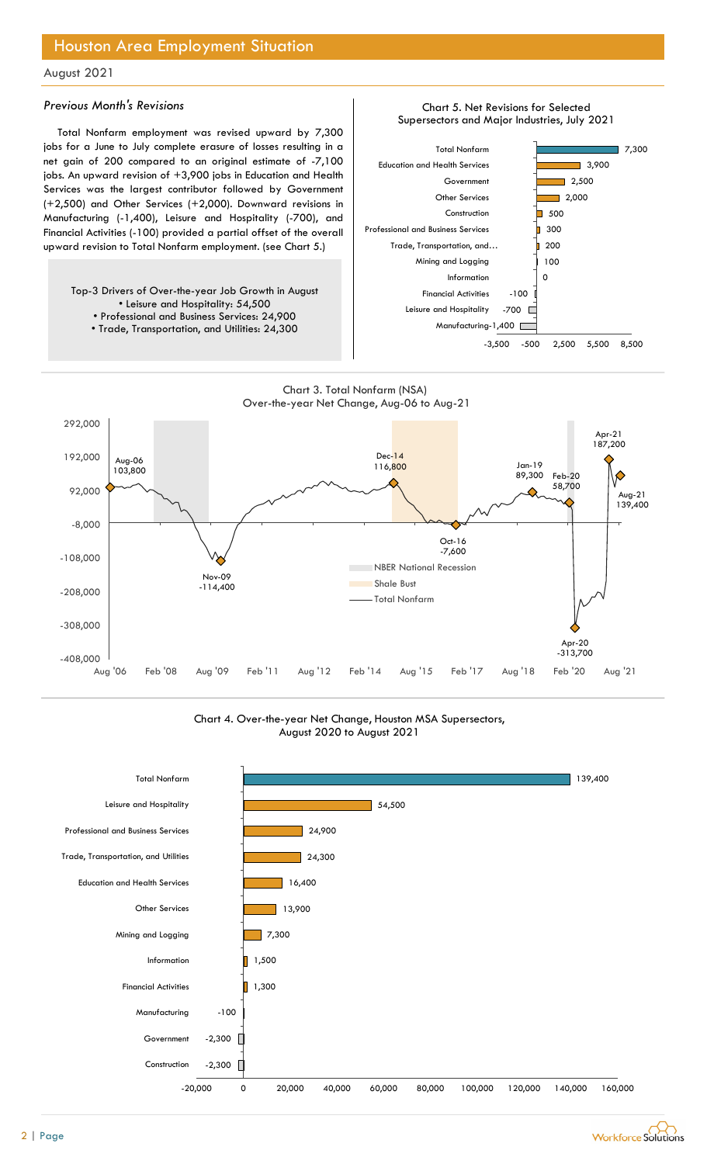## Houston Area Employment Situation

## August 2021

### Previous Month's Revisions

Total Nonfarm employment was revised upward by 7,300 jobs for a June to July complete erasure of losses resulting in a net gain of 200 compared to an original estimate of -7,100 jobs. An upward revision of +3,900 jobs in Education and Health Services was the largest contributor followed by Government (+2,500) and Other Services (+2,000). Downward revisions in Manufacturing (-1,400), Leisure and Hospitality (-700), and Financial Activities (-100) provided a partial offset of the overall upward revision to Total Nonfarm employment. (see Chart 5.)

Top-3 Drivers of Over-the-year Job Growth in August • Leisure and Hospitality: 54,500 • Professional and Business Services: 24,900

• Trade, Transportation, and Utilities: 24,300



Chart 5. Net Revisions for Selected





Chart 4. Over-the-year Net Change, Houston MSA Supersectors, August 2020 to August 2021



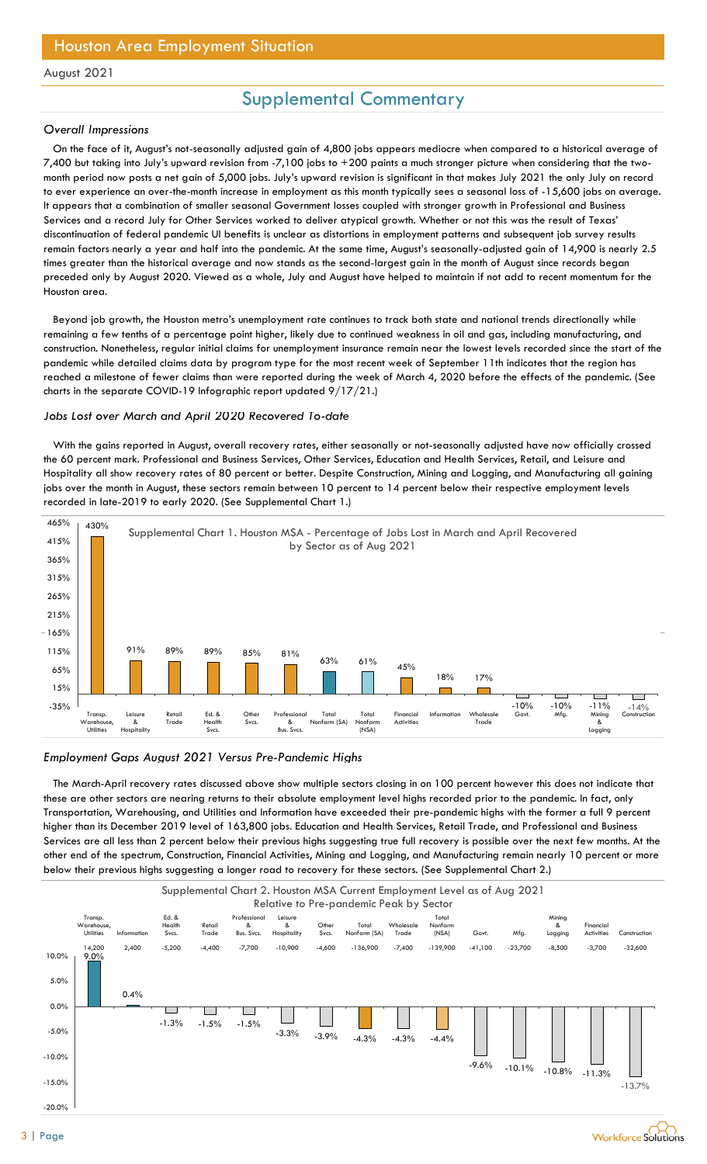## Supplemental Commentary

### Overall Impressions

 On the face of it, August's not-seasonally adjusted gain of 4,800 jobs appears mediocre when compared to a historical average of 7,400 but taking into July's upward revision from -7,100 jobs to +200 paints a much stronger picture when considering that the twomonth period now posts a net gain of 5,000 jobs. July's upward revision is significant in that makes July 2021 the only July on record to ever experience an over-the-month increase in employment as this month typically sees a seasonal loss of -15,600 jobs on average. It appears that a combination of smaller seasonal Government losses coupled with stronger growth in Professional and Business Services and a record July for Other Services worked to deliver atypical growth. Whether or not this was the result of Texas' discontinuation of federal pandemic UI benefits is unclear as distortions in employment patterns and subsequent job survey results remain factors nearly a year and half into the pandemic. At the same time, August's seasonally-adjusted gain of 14,900 is nearly 2.5 times greater than the historical average and now stands as the second-largest gain in the month of August since records began preceded only by August 2020. Viewed as a whole, July and August have helped to maintain if not add to recent momentum for the Houston area.

 Beyond job growth, the Houston metro's unemployment rate continues to track both state and national trends directionally while remaining a few tenths of a percentage point higher, likely due to continued weakness in oil and gas, including manufacturing, and construction. Nonetheless, regular initial claims for unemployment insurance remain near the lowest levels recorded since the start of the pandemic while detailed claims data by program type for the most recent week of September 11th indicates that the region has reached a milestone of fewer claims than were reported during the week of March 4, 2020 before the effects of the pandemic. (See charts in the separate COVID-19 Infographic report updated 9/17/21.)

### Jobs Lost over March and April 2020 Recovered To-date

 With the gains reported in August, overall recovery rates, either seasonally or not-seasonally adjusted have now officially crossed the 60 percent mark. Professional and Business Services, Other Services, Education and Health Services, Retail, and Leisure and Hospitality all show recovery rates of 80 percent or better. Despite Construction, Mining and Logging, and Manufacturing all gaining jobs over the month in August, these sectors remain between 10 percent to 14 percent below their respective employment levels recorded in late-2019 to early 2020. (See Supplemental Chart 1.)



#### Employment Gaps August 2021 Versus Pre-Pandemic Highs

 The March-April recovery rates discussed above show multiple sectors closing in on 100 percent however this does not indicate that these are other sectors are nearing returns to their absolute employment level highs recorded prior to the pandemic. In fact, only Transportation, Warehousing, and Utilities and Information have exceeded their pre-pandemic highs with the former a full 9 percent higher than its December 2019 level of 163,800 jobs. Education and Health Services, Retail Trade, and Professional and Business Services are all less than 2 percent below their previous highs suggesting true full recovery is possible over the next few months. At the other end of the spectrum, Construction, Financial Activities, Mining and Logging, and Manufacturing remain nearly 10 percent or more below their previous highs suggesting a longer road to recovery for these sectors. (See Supplemental Chart 2.)

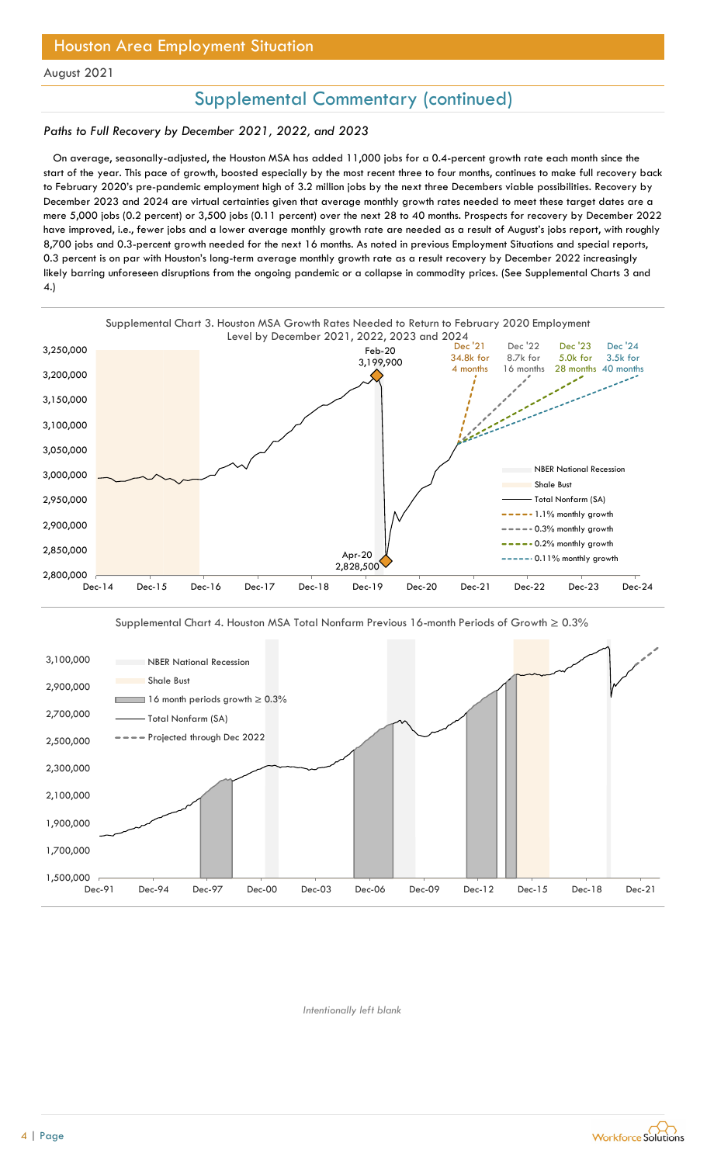## Houston Area Employment Situation

August 2021

## Supplemental Commentary (continued)

### Paths to Full Recovery by December 2021, 2022, and 2023

 On average, seasonally-adjusted, the Houston MSA has added 11,000 jobs for a 0.4-percent growth rate each month since the start of the year. This pace of growth, boosted especially by the most recent three to four months, continues to make full recovery back to February 2020's pre-pandemic employment high of 3.2 million jobs by the next three Decembers viable possibilities. Recovery by December 2023 and 2024 are virtual certainties given that average monthly growth rates needed to meet these target dates are a mere 5,000 jobs (0.2 percent) or 3,500 jobs (0.11 percent) over the next 28 to 40 months. Prospects for recovery by December 2022 have improved, i.e., fewer jobs and a lower average monthly growth rate are needed as a result of August's jobs report, with roughly 8,700 jobs and 0.3-percent growth needed for the next 16 months. As noted in previous Employment Situations and special reports, 0.3 percent is on par with Houston's long-term average monthly growth rate as a result recovery by December 2022 increasingly likely barring unforeseen disruptions from the ongoing pandemic or a collapse in commodity prices. (See Supplemental Charts 3 and 4.)





Supplemental Chart 4. Houston MSA Total Nonfarm Previous 16-month Periods of Growth ≥ 0.3%

Intentionally left blank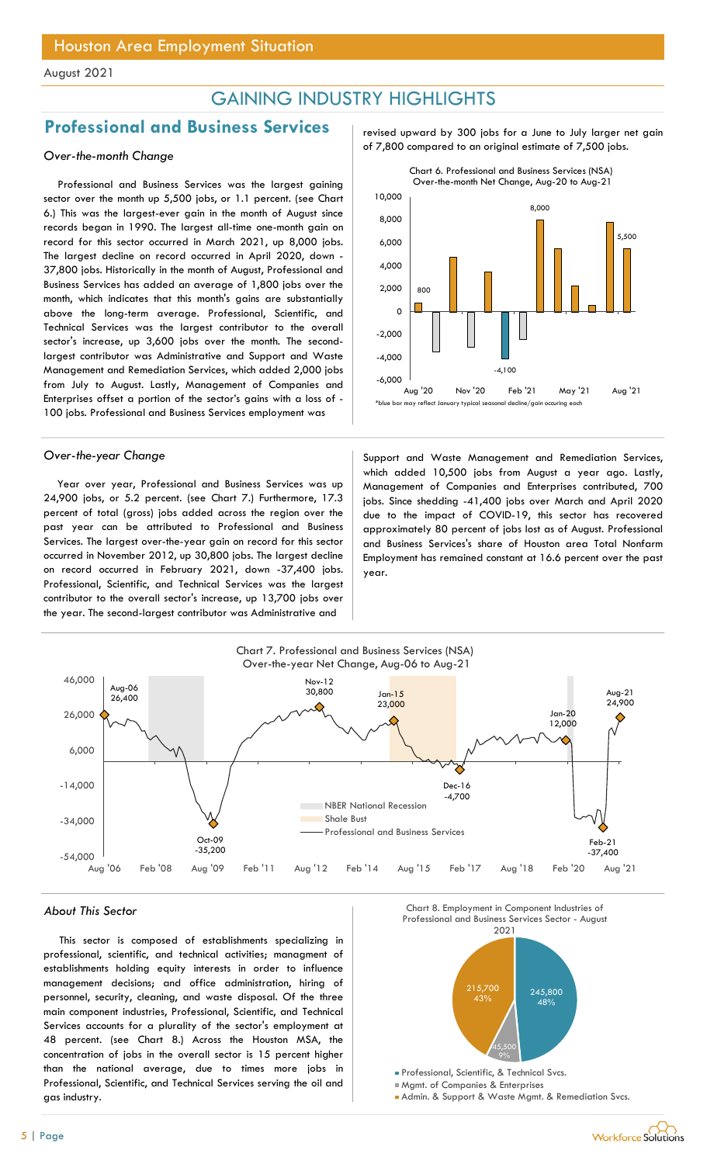## GAINING INDUSTRY HIGHLIGHTS

## Professional and Business Services revised upward by 300 jobs for a June to July larger net gain

Professional and Business Services was the largest gaining sector over the month up 5,500 jobs, or 1.1 percent. (see Chart 6.) This was the largest-ever gain in the month of August since records began in 1990. The largest all-time one-month gain on record for this sector occurred in March 2021, up 8,000 jobs. The largest decline on record occurred in April 2020, down - 37,800 jobs. Historically in the month of August, Professional and Business Services has added an average of 1,800 jobs over the month, which indicates that this month's gains are substantially above the long-term average. Professional, Scientific, and Technical Services was the largest contributor to the overall sector's increase, up 3,600 jobs over the month. The secondlargest contributor was Administrative and Support and Waste Management and Remediation Services, which added 2,000 jobs from July to August. Lastly, Management of Companies and Enterprises offset a portion of the sector's gains with a loss of - 100 jobs. Professional and Business Services employment was

Year over year, Professional and Business Services was up 24,900 jobs, or 5.2 percent. (see Chart 7.) Furthermore, 17.3 percent of total (gross) jobs added across the region over the past year can be attributed to Professional and Business Services. The largest over-the-year gain on record for this sector occurred in November 2012, up 30,800 jobs. The largest decline on record occurred in February 2021, down -37,400 jobs. Professional, Scientific, and Technical Services was the largest contributor to the overall sector's increase, up 13,700 jobs over the year. The second-largest contributor was Administrative and





Over-the-year Change Support and Waste Management and Remediation Services, which added 10,500 jobs from August a year ago. Lastly, Management of Companies and Enterprises contributed, 700 jobs. Since shedding -41,400 jobs over March and April 2020 due to the impact of COVID-19, this sector has recovered approximately 80 percent of jobs lost as of August. Professional and Business Services's share of Houston area Total Nonfarm Employment has remained constant at 16.6 percent over the past year.



This sector is composed of establishments specializing in professional, scientific, and technical activities; managment of establishments holding equity interests in order to influence management decisions; and office administration, hiring of personnel, security, cleaning, and waste disposal. Of the three main component industries, Professional, Scientific, and Technical Services accounts for a plurality of the sector's employment at 48 percent. (see Chart 8.) Across the Houston MSA, the concentration of jobs in the overall sector is 15 percent higher than the national average, due to times more jobs in Professional, Scientific, and Technical Services serving the oil and gas industry.



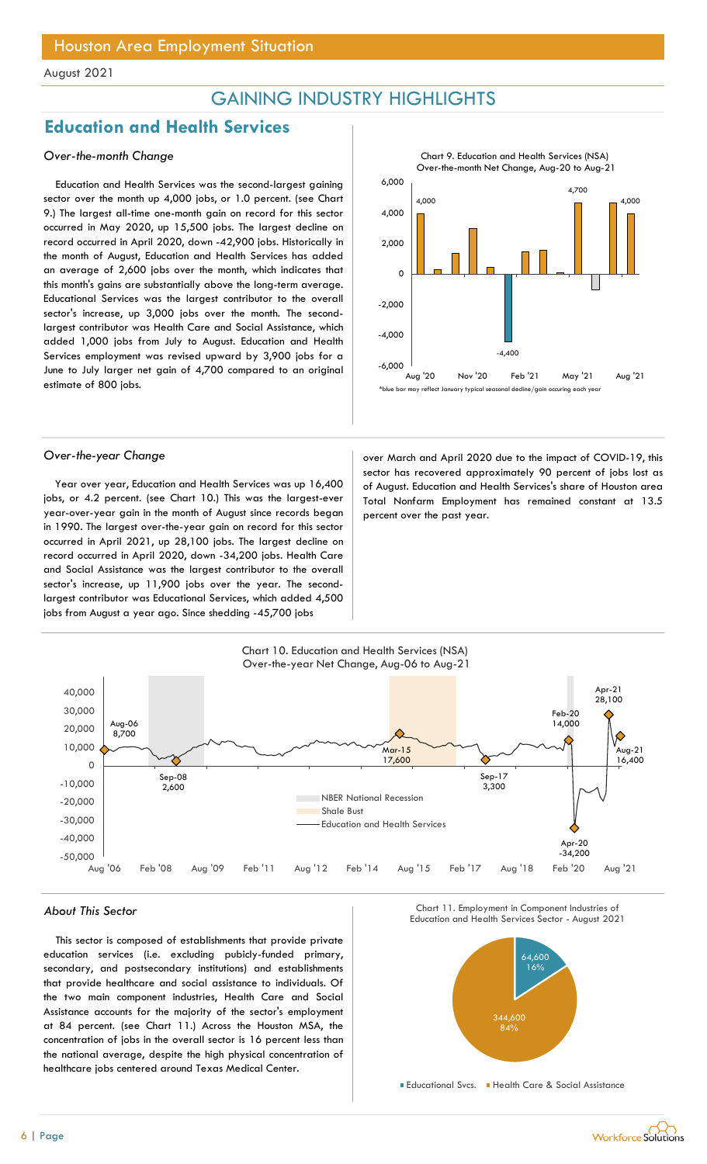## GAINING INDUSTRY HIGHLIGHTS

## Education and Health Services

### Over-the-month Change

Education and Health Services was the second-largest gaining sector over the month up 4,000 jobs, or 1.0 percent. (see Chart 9.) The largest all-time one-month gain on record for this sector occurred in May 2020, up 15,500 jobs. The largest decline on record occurred in April 2020, down -42,900 jobs. Historically in the month of August, Education and Health Services has added an average of 2,600 jobs over the month, which indicates that this month's gains are substantially above the long-term average. Educational Services was the largest contributor to the overall sector's increase, up 3,000 jobs over the month. The secondlargest contributor was Health Care and Social Assistance, which added 1,000 jobs from July to August. Education and Health Services employment was revised upward by 3,900 jobs for a June to July larger net gain of 4,700 compared to an original estimate of 800 jobs.



Year over year, Education and Health Services was up 16,400 jobs, or 4.2 percent. (see Chart 10.) This was the largest-ever year-over-year gain in the month of August since records began in 1990. The largest over-the-year gain on record for this sector occurred in April 2021, up 28,100 jobs. The largest decline on record occurred in April 2020, down -34,200 jobs. Health Care and Social Assistance was the largest contributor to the overall sector's increase, up 11,900 jobs over the year. The secondlargest contributor was Educational Services, which added 4,500 jobs from August a year ago. Since shedding -45,700 jobs

 $\begin{array}{|c|c|c|c|c|}\n\hline\n\text{2,000} & \text{m} & \text{m} \\
\hline\n\end{array}$ 4,000 and 4,000 and 4,000 and 4,000 and 4,000 and 4,000 and 4,000 and 4,000 and 4,000 and 4,000 and 4,000 and 4,000 and 4,000 and 4,000 and 4,000 and 4,000 and 4,000 and 4,000 and 4,000 and 4,000 and 4,000 and 4,000 and 4, -4,400 4,700 4,000  $-6,000$  and  $-6,000$  and  $-6,000$  and  $-6,000$  and  $-6,000$  and  $-6,000$  and  $-6,000$  and  $-6,000$  and  $-6,000$  and  $-6,000$  and  $-6,000$  and  $-6,000$  and  $-6,000$  and  $-6,000$  and  $-6,000$  and  $-6,000$  and  $-6,000$  and -4,000 **A** -2,000 **discussed and the set of the set of the set of the set of the set of the set of the set of the set of t** ᠐├<del>┖╵**╒╸╚**╷╚╎╚╶╻╷╄╝╶╝╺╕╄╝╷╖</del> 2,000  $6,000$  and  $100$  and  $100$  and  $100$  and  $100$  and  $100$  and  $100$  and  $100$  and  $100$  and  $100$  and  $100$  and  $100$  and  $100$  and  $100$  and  $100$  and  $100$  and  $100$  and  $100$  and  $100$  and  $100$  and  $100$  and  $100$  and CHLIGHTS<br>
Chart 9. Education and Health Services (NSA)<br>
Over-the-month Net Change, Aug-20 to Aug-21<br>
4,000<br>
4,700<br>
4,000<br>
Aug '20 Nov '20 Feb '21 May '21 Aug '21<br>
may reflect January typical secundal decline/gain occuring \*blue bar may reflect January typical seasonal decline/gain occuring each year

Chart 9. Education and Health Services (NSA) Over-the-month Net Change, Aug-20 to Aug-21

Over-the-year Change and Sover March and April 2020 due to the impact of COVID-19, this sector has recovered approximately 90 percent of jobs lost as of August. Education and Health Services's share of Houston area Total Nonfarm Employment has remained constant at 13.5 percent over the past year.



## About This Sector Chart II. Employment in Component Industries of Chart II. Employment in Component Industries of Chart II. Employment in Component Industries of Chart II. Employment in Component Industries of Chart II. Em

This sector is composed of establishments that provide private education services (i.e. excluding pubicly-funded primary, secondary, and postsecondary institutions) and establishments that provide healthcare and social assistance to individuals. Of the two main component industries, Health Care and Social Assistance accounts for the majority of the sector's employment at 84 percent. (see Chart 11.) Across the Houston MSA, the concentration of jobs in the overall sector is 16 percent less than the national average, despite the high physical concentration of healthcare jobs centered around Texas Medical Center.



Chart 11. Employment in Component Industries of

Educational Svcs. Health Care & Social Assistance

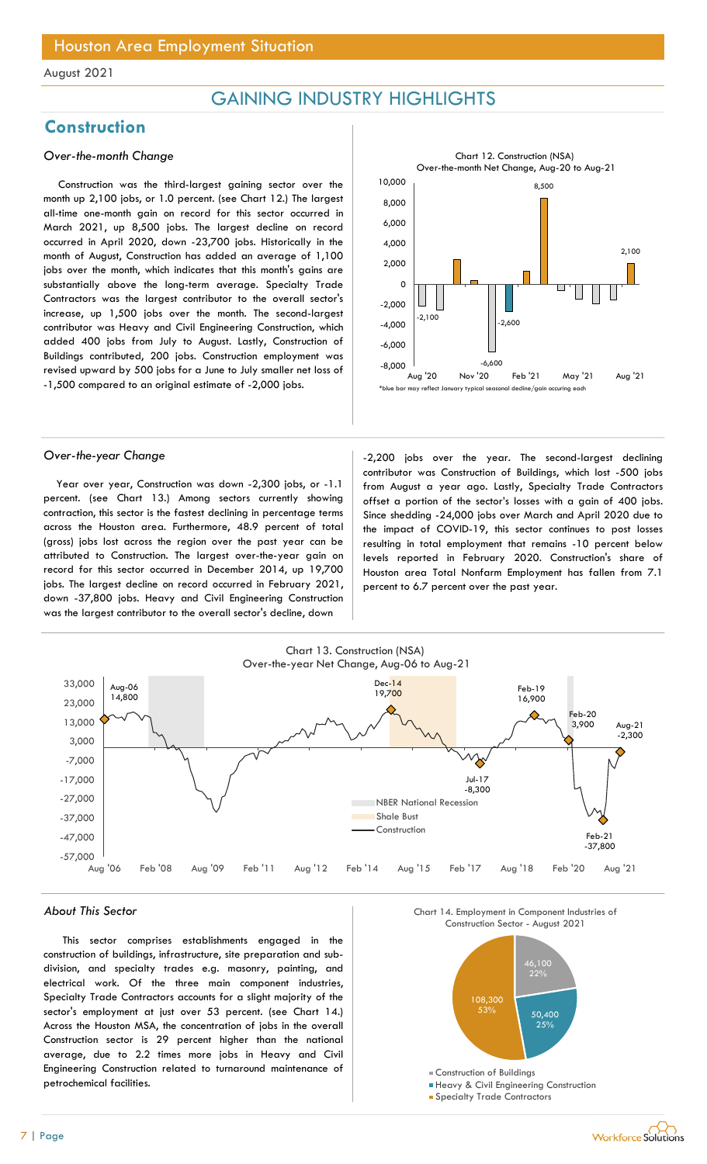## GAINING INDUSTRY HIGHLIGHTS

## **Construction**

### Over-the-month Change

Construction was the third-largest gaining sector over the month up 2,100 jobs, or 1.0 percent. (see Chart 12.) The largest all-time one-month gain on record for this sector occurred in March 2021, up 8,500 jobs. The largest decline on record occurred in April 2020, down -23,700 jobs. Historically in the month of August, Construction has added an average of 1,100 jobs over the month, which indicates that this month's gains are substantially above the long-term average. Specialty Trade Contractors was the largest contributor to the overall sector's increase, up 1,500 jobs over the month. The second-largest contributor was Heavy and Civil Engineering Construction, which added 400 jobs from July to August. Lastly, Construction of Buildings contributed, 200 jobs. Construction employment was revised upward by 500 jobs for a June to July smaller net loss of -1,500 compared to an original estimate of -2,000 jobs.



Year over year, Construction was down -2,300 jobs, or -1.1 percent. (see Chart 13.) Among sectors currently showing contraction, this sector is the fastest declining in percentage terms across the Houston area. Furthermore, 48.9 percent of total (gross) jobs lost across the region over the past year can be attributed to Construction. The largest over-the-year gain on record for this sector occurred in December 2014, up 19,700 jobs. The largest decline on record occurred in February 2021, down -37,800 jobs. Heavy and Civil Engineering Construction was the largest contributor to the overall sector's decline, down



Over-the-year Change and the second-largest declining -2,200 jobs over the year. The second-largest declining contributor was Construction of Buildings, which lost -500 jobs from August a year ago. Lastly, Specialty Trade Contractors offset a portion of the sector's losses with a gain of 400 jobs. Since shedding -24,000 jobs over March and April 2020 due to the impact of COVID-19, this sector continues to post losses resulting in total employment that remains -10 percent below levels reported in February 2020. Construction's share of Houston area Total Nonfarm Employment has fallen from 7.1 percent to 6.7 percent over the past year.



#### About This Sector

This sector comprises establishments engaged in the construction of buildings, infrastructure, site preparation and subdivision, and specialty trades e.g. masonry, painting, and electrical work. Of the three main component industries, Specialty Trade Contractors accounts for a slight majority of the sector's employment at just over 53 percent. (see Chart 14.) Across the Houston MSA, the concentration of jobs in the overall Construction sector is 29 percent higher than the national average, due to 2.2 times more jobs in Heavy and Civil Engineering Construction related to turnaround maintenance of petrochemical facilities.





- 
- **Specialty Trade Contractors**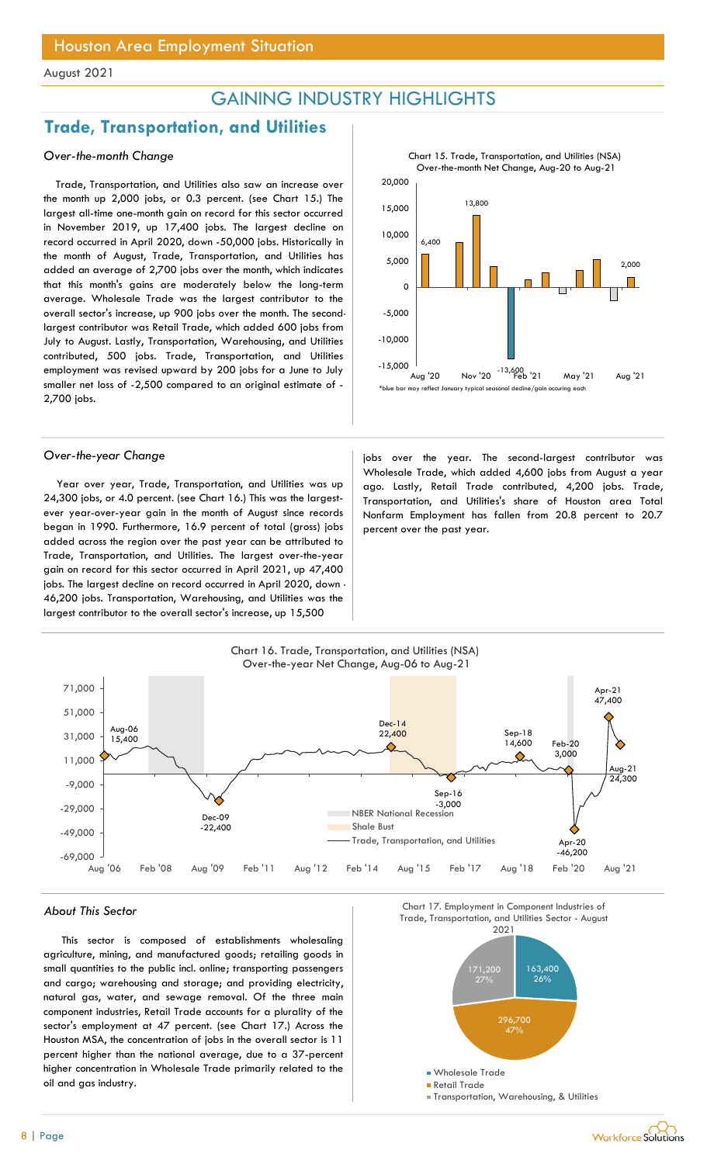## GAINING INDUSTRY HIGHLIGHTS

## Trade, Transportation, and Utilities

### Over-the-month Change

Trade, Transportation, and Utilities also saw an increase over the month up 2,000 jobs, or 0.3 percent. (see Chart 15.) The largest all-time one-month gain on record for this sector occurred in November 2019, up 17,400 jobs. The largest decline on record occurred in April 2020, down -50,000 jobs. Historically in the month of August, Trade, Transportation, and Utilities has added an average of 2,700 jobs over the month, which indicates that this month's gains are moderately below the long-term average. Wholesale Trade was the largest contributor to the overall sector's increase, up 900 jobs over the month. The secondlargest contributor was Retail Trade, which added 600 jobs from July to August. Lastly, Transportation, Warehousing, and Utilities contributed, 500 jobs. Trade, Transportation, and Utilities employment was revised upward by 200 jobs for a June to July smaller net loss of -2,500 compared to an original estimate of - 2,700 jobs.

Year over year, Trade, Transportation, and Utilities was up 24,300 jobs, or 4.0 percent. (see Chart 16.) This was the largestever year-over-year gain in the month of August since records began in 1990. Furthermore, 16.9 percent of total (gross) jobs added across the region over the past year can be attributed to Trade, Transportation, and Utilities. The largest over-the-year gain on record for this sector occurred in April 2021, up 47,400 jobs. The largest decline on record occurred in April 2020, down - 46,200 jobs. Transportation, Warehousing, and Utilities was the largest contributor to the overall sector's increase, up 15,500



Over-the-year Change in the second-largest contributor was in the year. The second-largest contributor was Wholesale Trade, which added 4,600 jobs from August a year ago. Lastly, Retail Trade contributed, 4,200 jobs. Trade, Transportation, and Utilities's share of Houston area Total Nonfarm Employment has fallen from 20.8 percent to 20.7 percent over the past year.



This sector is composed of establishments wholesaling agriculture, mining, and manufactured goods; retailing goods in small quantities to the public incl. online; transporting passengers and cargo; warehousing and storage; and providing electricity, natural gas, water, and sewage removal. Of the three main component industries, Retail Trade accounts for a plurality of the sector's employment at 47 percent. (see Chart 17.) Across the Houston MSA, the concentration of jobs in the overall sector is 11 percent higher than the national average, due to a 37-percent higher concentration in Wholesale Trade primarily related to the oil and gas industry.

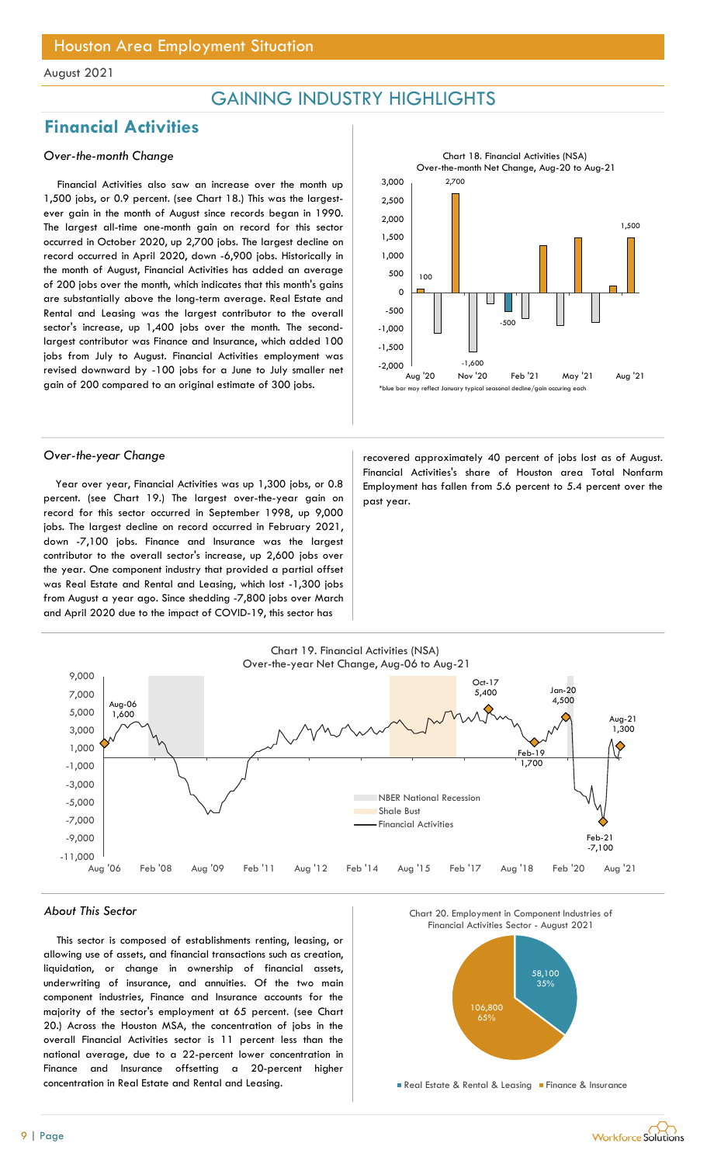## GAINING INDUSTRY HIGHLIGHTS

## Financial Activities

### Over-the-month Change

Financial Activities also saw an increase over the month up 1,500 jobs, or 0.9 percent. (see Chart 18.) This was the largestever gain in the month of August since records began in 1990. The largest all-time one-month gain on record for this sector occurred in October 2020, up 2,700 jobs. The largest decline on record occurred in April 2020, down -6,900 jobs. Historically in the month of August, Financial Activities has added an average of 200 jobs over the month, which indicates that this month's gains are substantially above the long-term average. Real Estate and Rental and Leasing was the largest contributor to the overall sector's increase, up 1,400 jobs over the month. The secondlargest contributor was Finance and Insurance, which added 100 jobs from July to August. Financial Activities employment was revised downward by -100 jobs for a June to July smaller net gain of 200 compared to an original estimate of 300 jobs.



Year over year, Financial Activities was up 1,300 jobs, or 0.8 percent. (see Chart 19.) The largest over-the-year gain on record for this sector occurred in September 1998, up 9,000 jobs. The largest decline on record occurred in February 2021, down -7,100 jobs. Finance and Insurance was the largest contributor to the overall sector's increase, up 2,600 jobs over the year. One component industry that provided a partial offset was Real Estate and Rental and Leasing, which lost -1,300 jobs from August a year ago. Since shedding -7,800 jobs over March and April 2020 due to the impact of COVID-19, this sector has

Over-the-year Change and the recovered approximately 40 percent of jobs lost as of August. Financial Activities's share of Houston area Total Nonfarm Employment has fallen from 5.6 percent to 5.4 percent over the past year.



#### About This Sector

This sector is composed of establishments renting, leasing, or allowing use of assets, and financial transactions such as creation, liquidation, or change in ownership of financial assets, underwriting of insurance, and annuities. Of the two main component industries, Finance and Insurance accounts for the majority of the sector's employment at 65 percent. (see Chart 20.) Across the Houston MSA, the concentration of jobs in the overall Financial Activities sector is 11 percent less than the national average, due to a 22-percent lower concentration in Finance and Insurance offsetting a 20-percent higher concentration in Real Estate and Rental and Leasing.





**Real Estate & Rental & Leasing Finance & Insurance**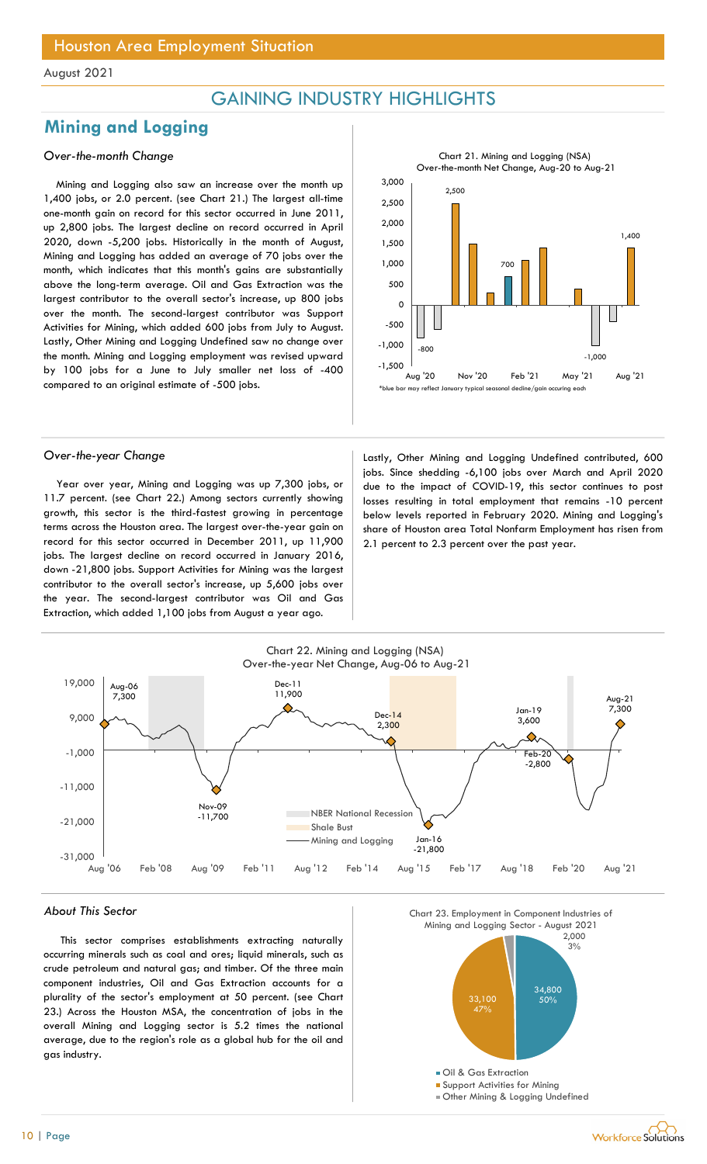## GAINING INDUSTRY HIGHLIGHTS

## Mining and Logging

### Over-the-month Change

Mining and Logging also saw an increase over the month up 1,400 jobs, or 2.0 percent. (see Chart 21.) The largest all-time one-month gain on record for this sector occurred in June 2011, up 2,800 jobs. The largest decline on record occurred in April 2020, down -5,200 jobs. Historically in the month of August, Mining and Logging has added an average of 70 jobs over the month, which indicates that this month's gains are substantially above the long-term average. Oil and Gas Extraction was the largest contributor to the overall sector's increase, up 800 jobs over the month. The second-largest contributor was Support Activities for Mining, which added 600 jobs from July to August. Lastly, Other Mining and Logging Undefined saw no change over the month. Mining and Logging employment was revised upward by 100 jobs for a June to July smaller net loss of -400 compared to an original estimate of -500 jobs.



Year over year, Mining and Logging was up 7,300 jobs, or 11.7 percent. (see Chart 22.) Among sectors currently showing growth, this sector is the third-fastest growing in percentage terms across the Houston area. The largest over-the-year gain on record for this sector occurred in December 2011, up 11,900 jobs. The largest decline on record occurred in January 2016, down -21,800 jobs. Support Activities for Mining was the largest contributor to the overall sector's increase, up 5,600 jobs over the year. The second-largest contributor was Oil and Gas Extraction, which added 1,100 jobs from August a year ago.



Over-the-year Change **Lastly, Other Mining and Logging Undefined contributed**, 600 jobs. Since shedding -6,100 jobs over March and April 2020 due to the impact of COVID-19, this sector continues to post losses resulting in total employment that remains -10 percent below levels reported in February 2020. Mining and Logging's share of Houston area Total Nonfarm Employment has risen from 2.1 percent to 2.3 percent over the past year.



#### About This Sector

This sector comprises establishments extracting naturally occurring minerals such as coal and ores; liquid minerals, such as crude petroleum and natural gas; and timber. Of the three main component industries, Oil and Gas Extraction accounts for a plurality of the sector's employment at 50 percent. (see Chart 23.) Across the Houston MSA, the concentration of jobs in the overall Mining and Logging sector is 5.2 times the national average, due to the region's role as a global hub for the oil and gas industry.

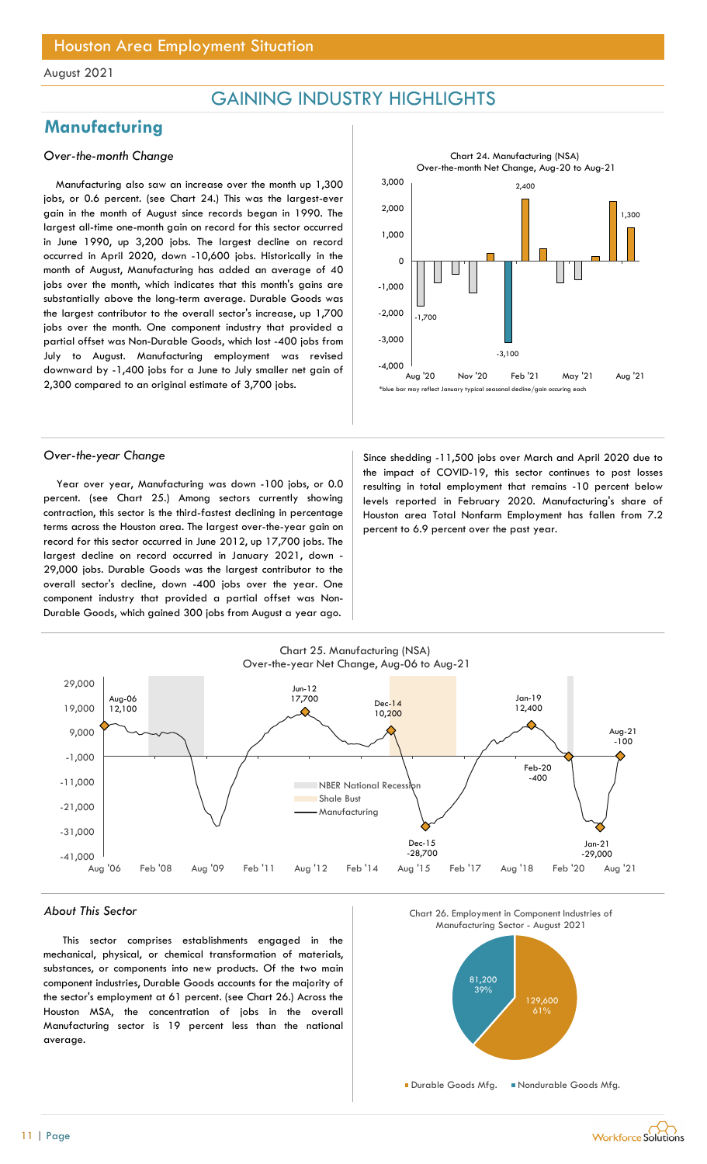## GAINING INDUSTRY HIGHLIGHTS

## **Manufacturing**

### Over-the-month Change

Manufacturing also saw an increase over the month up 1,300 jobs, or 0.6 percent. (see Chart 24.) This was the largest-ever gain in the month of August since records began in 1990. The largest all-time one-month gain on record for this sector occurred in June 1990, up 3,200 jobs. The largest decline on record occurred in April 2020, down -10,600 jobs. Historically in the month of August, Manufacturing has added an average of 40 jobs over the month, which indicates that this month's gains are substantially above the long-term average. Durable Goods was the largest contributor to the overall sector's increase, up 1,700 jobs over the month. One component industry that provided a partial offset was Non-Durable Goods, which lost -400 jobs from July to August. Manufacturing employment was revised downward by -1,400 jobs for a June to July smaller net gain of 2,300 compared to an original estimate of 3,700 jobs.



Year over year, Manufacturing was down -100 jobs, or 0.0 percent. (see Chart 25.) Among sectors currently showing contraction, this sector is the third-fastest declining in percentage terms across the Houston area. The largest over-the-year gain on record for this sector occurred in June 2012, up 17,700 jobs. The largest decline on record occurred in January 2021, down - 29,000 jobs. Durable Goods was the largest contributor to the overall sector's decline, down -400 jobs over the year. One component industry that provided a partial offset was Non-Durable Goods, which gained 300 jobs from August a year ago.

Over-the-year Change Since shedding -11,500 jobs over March and April 2020 due to the impact of COVID-19, this sector continues to post losses resulting in total employment that remains -10 percent below levels reported in February 2020. Manufacturing's share of Houston area Total Nonfarm Employment has fallen from 7.2 percent to 6.9 percent over the past year.



#### About This Sector

This sector comprises establishments engaged in the mechanical, physical, or chemical transformation of materials, substances, or components into new products. Of the two main component industries, Durable Goods accounts for the majority of the sector's employment at 61 percent. (see Chart 26.) Across the Houston MSA, the concentration of jobs in the overall Manufacturing sector is 19 percent less than the national average.



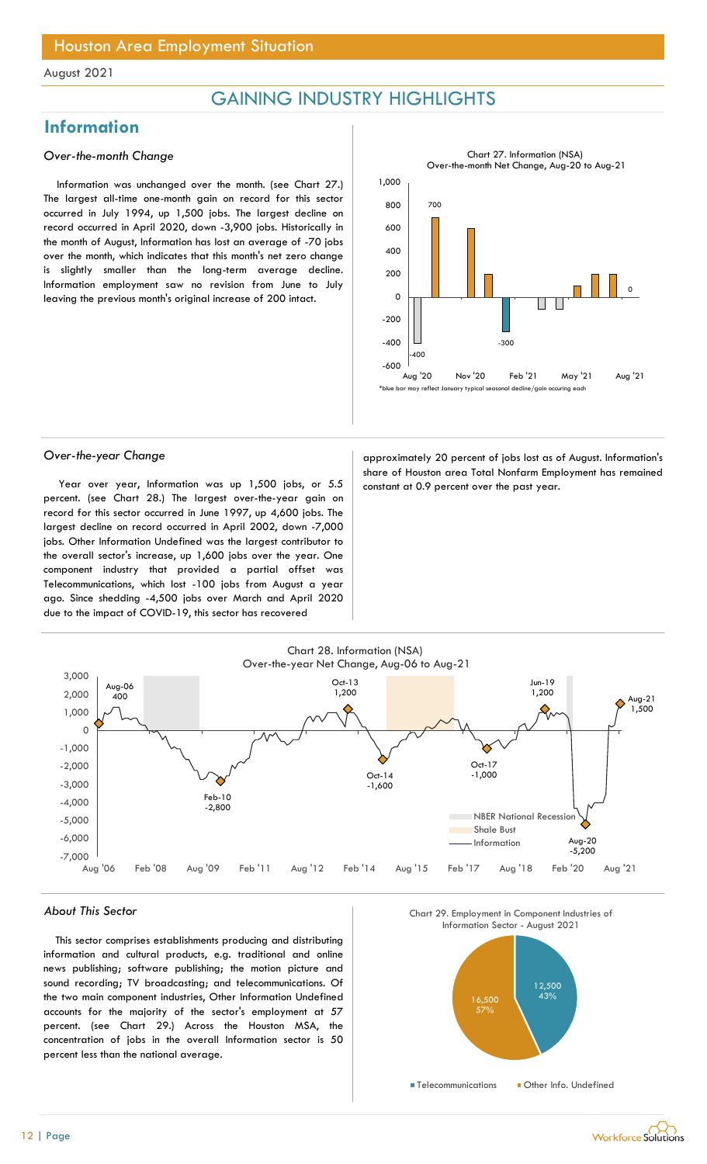## GAINING INDUSTRY HIGHLIGHTS

## **Information**

### Over-the-month Change

Information was unchanged over the month. (see Chart 27.) The largest all-time one-month gain on record for this sector occurred in July 1994, up 1,500 jobs. The largest decline on record occurred in April 2020, down -3,900 jobs. Historically in the month of August, Information has lost an average of -70 jobs over the month, which indicates that this month's net zero change is slightly smaller than the long-term average decline. Information employment saw no revision from June to July leaving the previous month's original increase of 200 intact.



Year over year, Information was up 1,500 jobs, or  $5.5$  constant at 0.9 percent over the past year. percent. (see Chart 28.) The largest over-the-year gain on record for this sector occurred in June 1997, up 4,600 jobs. The largest decline on record occurred in April 2002, down -7,000 jobs. Other Information Undefined was the largest contributor to the overall sector's increase, up 1,600 jobs over the year. One component industry that provided a partial offset was Telecommunications, which lost -100 jobs from August a year ago. Since shedding -4,500 jobs over March and April 2020 due to the impact of COVID-19, this sector has recovered

Over-the-year Change approximately 20 percent of jobs lost as of August. Information's share of Houston area Total Nonfarm Employment has remained



### About This Sector

This sector comprises establishments producing and distributing information and cultural products, e.g. traditional and online news publishing; software publishing; the motion picture and sound recording; TV broadcasting; and telecommunications. Of the two main component industries, Other Information Undefined accounts for the majority of the sector's employment at 57 percent. (see Chart 29.) Across the Houston MSA, the concentration of jobs in the overall Information sector is 50 percent less than the national average.





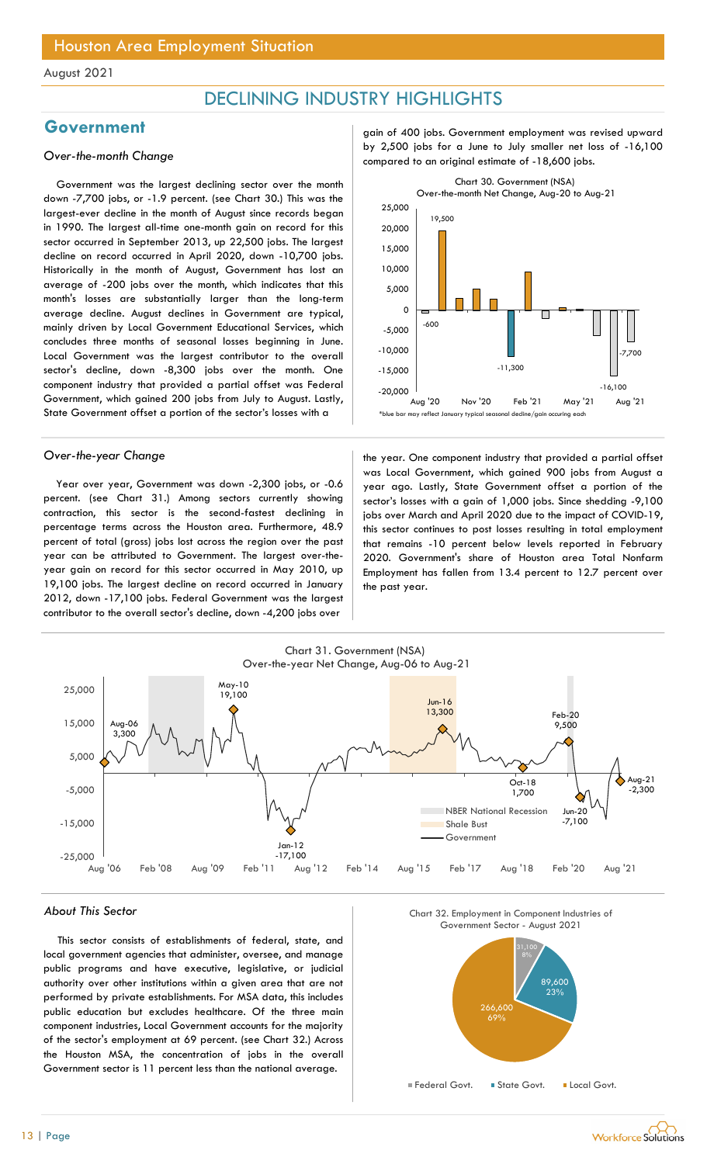## DECLINING INDUSTRY HIGHLIGHTS

Government was the largest declining sector over the month down -7,700 jobs, or -1.9 percent. (see Chart 30.) This was the largest-ever decline in the month of August since records began in 1990. The largest all-time one-month gain on record for this sector occurred in September 2013, up 22,500 jobs. The largest decline on record occurred in April 2020, down -10,700 jobs. Historically in the month of August, Government has lost an average of -200 jobs over the month, which indicates that this month's losses are substantially larger than the long-term average decline. August declines in Government are typical, mainly driven by Local Government Educational Services, which concludes three months of seasonal losses beginning in June. Local Government was the largest contributor to the overall sector's decline, down -8,300 jobs over the month. One component industry that provided a partial offset was Federal Government, which gained 200 jobs from July to August. Lastly, State Government offset a portion of the sector's losses with a

Year over year, Government was down -2,300 jobs, or -0.6 percent. (see Chart 31.) Among sectors currently showing contraction, this sector is the second-fastest declining in percentage terms across the Houston area. Furthermore, 48.9 percent of total (gross) jobs lost across the region over the past year can be attributed to Government. The largest over-theyear gain on record for this sector occurred in May 2010, up 19,100 jobs. The largest decline on record occurred in January 2012, down -17,100 jobs. Federal Government was the largest contributor to the overall sector's decline, down -4,200 jobs over

Government and a setting gain of 400 jobs. Government employment was revised upward by 2,500 jobs for a June to July smaller net loss of -16,100<br>Compared to an original estimate of -18,600 jobs.



Over-the-year Change the year the year. One component industry that provided a partial offset was Local Government, which gained 900 jobs from August a year ago. Lastly, State Government offset a portion of the sector's losses with a gain of 1,000 jobs. Since shedding -9,100 jobs over March and April 2020 due to the impact of COVID-19, this sector continues to post losses resulting in total employment that remains -10 percent below levels reported in February 2020. Government's share of Houston area Total Nonfarm Employment has fallen from 13.4 percent to 12.7 percent over the past year.



#### About This Sector

This sector consists of establishments of federal, state, and local government agencies that administer, oversee, and manage public programs and have executive, legislative, or judicial authority over other institutions within a given area that are not performed by private establishments. For MSA data, this includes public education but excludes healthcare. Of the three main component industries, Local Government accounts for the majority of the sector's employment at 69 percent. (see Chart 32.) Across the Houston MSA, the concentration of jobs in the overall Government sector is 11 percent less than the national average.

Chart 32. Employment in Component Industries of



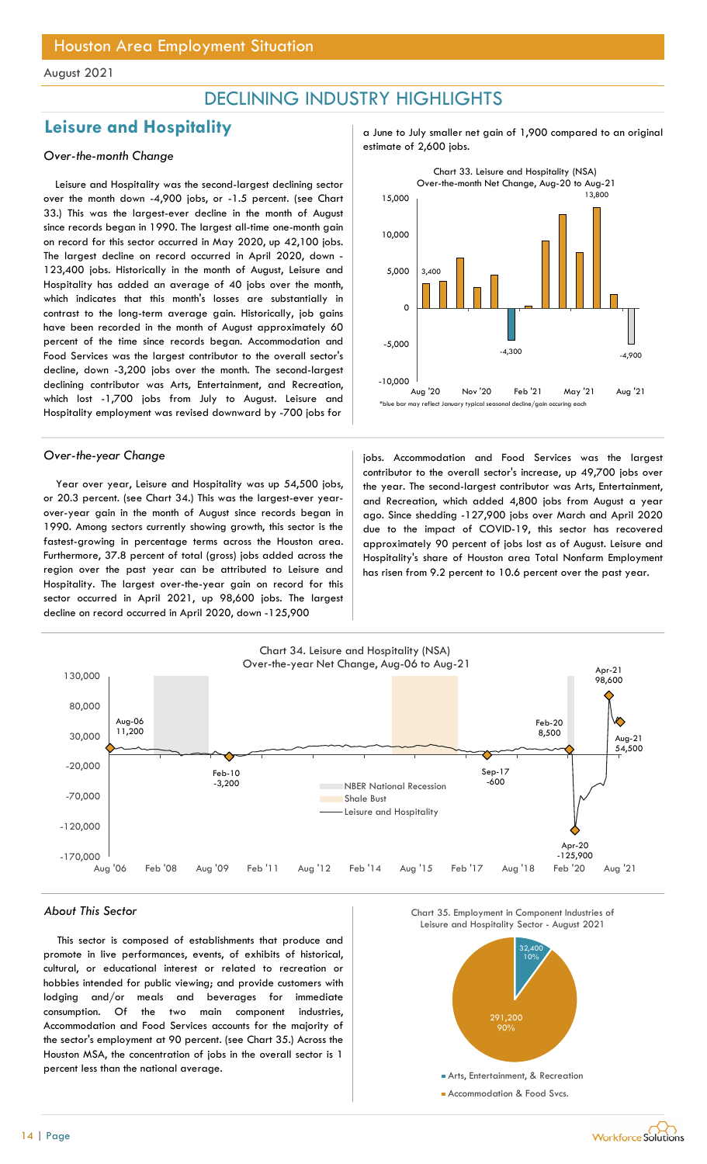## DECLINING INDUSTRY HIGHLIGHTS

## Leisure and Hospitality and  $\frac{1}{2}$  a June to July smaller net gain of 1,900 compared to an original

Leisure and Hospitality was the second-largest declining sector over the month down -4,900 jobs, or -1.5 percent. (see Chart 33.) This was the largest-ever decline in the month of August since records began in 1990. The largest all-time one-month gain on record for this sector occurred in May 2020, up 42,100 jobs. The largest decline on record occurred in April 2020, down - 123,400 jobs. Historically in the month of August, Leisure and Hospitality has added an average of 40 jobs over the month, which indicates that this month's losses are substantially in contrast to the long-term average gain. Historically, job gains have been recorded in the month of August approximately 60 percent of the time since records began. Accommodation and Food Services was the largest contributor to the overall sector's decline, down -3,200 jobs over the month. The second-largest declining contributor was Arts, Entertainment, and Recreation, which lost -1,700 jobs from July to August. Leisure and Hospitality employment was revised downward by -700 jobs for

Year over year, Leisure and Hospitality was up 54,500 jobs, or 20.3 percent. (see Chart 34.) This was the largest-ever yearover-year gain in the month of August since records began in 1990. Among sectors currently showing growth, this sector is the fastest-growing in percentage terms across the Houston area. Furthermore, 37.8 percent of total (gross) jobs added across the region over the past year can be attributed to Leisure and Hospitality. The largest over-the-year gain on record for this sector occurred in April 2021, up 98,600 jobs. The largest decline on record occurred in April 2020, down -125,900

estimate of 2,600 jobs. Over-the-month Change



Over-the-year Change in the service of the services was the largest in the largest over-the-year Changes of the largest contributor to the overall sector's increase, up 49,700 jobs over the year. The second-largest contributor was Arts, Entertainment, and Recreation, which added 4,800 jobs from August a year ago. Since shedding -127,900 jobs over March and April 2020 due to the impact of COVID-19, this sector has recovered approximately 90 percent of jobs lost as of August. Leisure and Hospitality's share of Houston area Total Nonfarm Employment has risen from 9.2 percent to 10.6 percent over the past year.



#### About This Sector

This sector is composed of establishments that produce and promote in live performances, events, of exhibits of historical, cultural, or educational interest or related to recreation or hobbies intended for public viewing; and provide customers with lodging and/or meals and beverages for immediate consumption. Of the two main component industries, Accommodation and Food Services accounts for the majority of the sector's employment at 90 percent. (see Chart 35.) Across the Houston MSA, the concentration of jobs in the overall sector is 1 percent less than the national average.





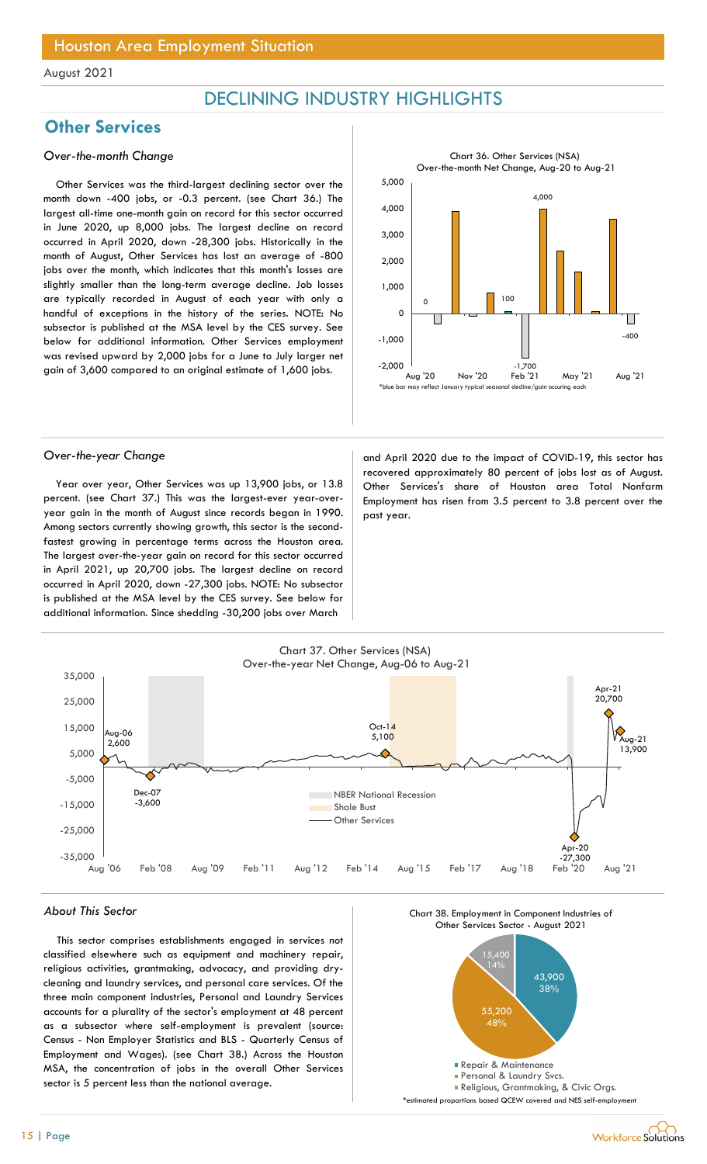## DECLINING INDUSTRY HIGHLIGHTS

## **Other Services**

### Over-the-month Change

Other Services was the third-largest declining sector over the month down -400 jobs, or -0.3 percent. (see Chart 36.) The largest all-time one-month gain on record for this sector occurred in June 2020, up 8,000 jobs. The largest decline on record occurred in April 2020, down -28,300 jobs. Historically in the month of August, Other Services has lost an average of -800 jobs over the month, which indicates that this month's losses are slightly smaller than the long-term average decline. Job losses are typically recorded in August of each year with only a handful of exceptions in the history of the series. NOTE: No subsector is published at the MSA level by the CES survey. See below for additional information. Other Services employment was revised upward by 2,000 jobs for a June to July larger net gain of 3,600 compared to an original estimate of 1,600 jobs.



Year over year, Other Services was up 13,900 jobs, or 13.8 percent. (see Chart 37.) This was the largest-ever year-overyear gain in the month of August since records began in 1990. Among sectors currently showing growth, this sector is the secondfastest growing in percentage terms across the Houston area. The largest over-the-year gain on record for this sector occurred in April 2021, up 20,700 jobs. The largest decline on record occurred in April 2020, down -27,300 jobs. NOTE: No subsector is published at the MSA level by the CES survey. See below for additional information. Since shedding -30,200 jobs over March

Over-the-year Change and April 2020 due to the impact of COVID-19, this sector has recovered approximately 80 percent of jobs lost as of August. Other Services's share of Houston area Total Nonfarm Employment has risen from 3.5 percent to 3.8 percent over the past year.



#### About This Sector

This sector comprises establishments engaged in services not classified elsewhere such as equipment and machinery repair, religious activities, grantmaking, advocacy, and providing drycleaning and laundry services, and personal care services. Of the three main component industries, Personal and Laundry Services accounts for a plurality of the sector's employment at 48 percent as a subsector where self-employment is prevalent (source: Census - Non Employer Statistics and BLS - Quarterly Census of Employment and Wages). (see Chart 38.) Across the Houston MSA, the concentration of jobs in the overall Other Services sector is 5 percent less than the national average.



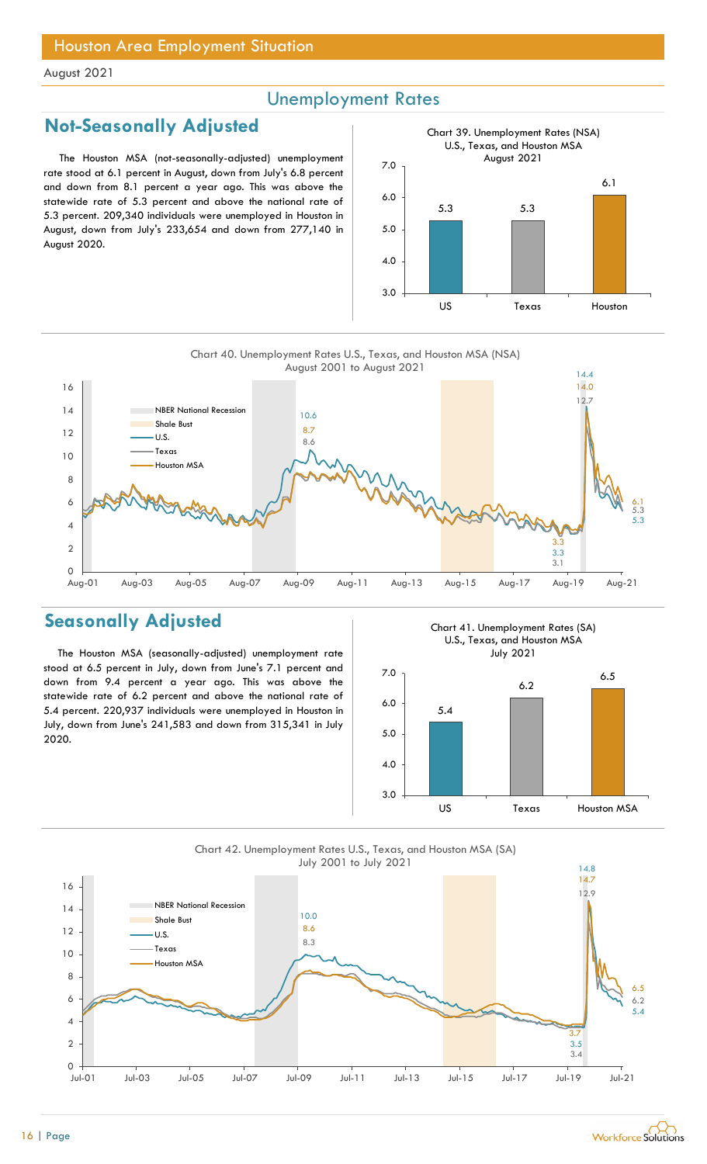## Unemployment Rates

## Not-Seasonally Adjusted

The Houston MSA (not-seasonally-adjusted) unemployment rate stood at 6.1 percent in August, down from July's 6.8 percent and down from 8.1 percent a year ago. This was above the statewide rate of 5.3 percent and above the national rate of 5.3 percent. 209,340 individuals were unemployed in Houston in August, down from July's 233,654 and down from 277,140 in August 2020.





## Seasonally Adjusted

The Houston MSA (seasonally-adjusted) unemployment rate stood at 6.5 percent in July, down from June's 7.1 percent and down from 9.4 percent a year ago. This was above the statewide rate of 6.2 percent and above the national rate of 5.4 percent. 220,937 individuals were unemployed in Houston in July, down from June's 241,583 and down from 315,341 in July 2020.

Chart 41. Unemployment Rates (SA) U.S., Texas, and Houston MSA